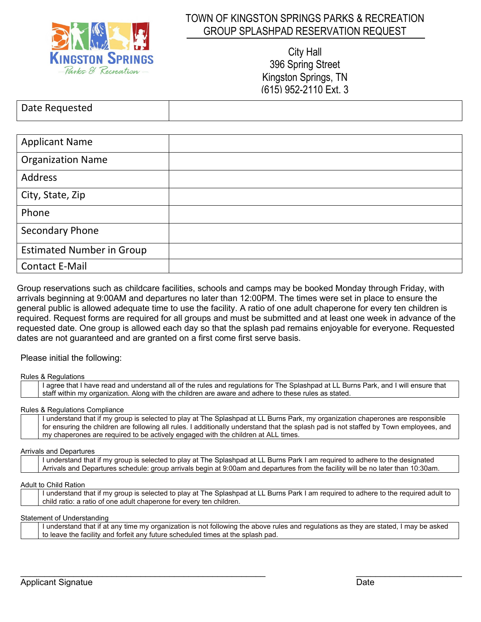

### TOWN OF KINGSTON SPRINGS PARKS & RECREATION GROUP SPLASHPAD RESERVATION REQUEST

City Hall 396 Spring Street Kingston Springs, TN (615) 952-2110 Ext. 3

| Date Requested |  |
|----------------|--|

| <b>Applicant Name</b>            |  |
|----------------------------------|--|
| <b>Organization Name</b>         |  |
| Address                          |  |
| City, State, Zip                 |  |
| Phone                            |  |
| Secondary Phone                  |  |
| <b>Estimated Number in Group</b> |  |
| <b>Contact E-Mail</b>            |  |

Group reservations such as childcare facilities, schools and camps may be booked Monday through Friday, with arrivals beginning at 9:00AM and departures no later than 12:00PM. The times were set in place to ensure the general public is allowed adequate time to use the facility. A ratio of one adult chaperone for every ten children is required. Request forms are required for all groups and must be submitted and at least one week in advance of the requested date. One group is allowed each day so that the splash pad remains enjoyable for everyone. Requested dates are not guaranteed and are granted on a first come first serve basis.

Please initial the following:

Rules & Regulations

| I agree that I have read and understand all of the rules and regulations for The Splashpad at LL Burns Park, and I will ensure that |  |  |
|-------------------------------------------------------------------------------------------------------------------------------------|--|--|
| staff within my organization. Along with the children are aware and adhere to these rules as stated.                                |  |  |

#### Rules & Regulations Compliance

I understand that if my group is selected to play at The Splashpad at LL Burns Park, my organization chaperones are responsible for ensuring the children are following all rules. I additionally understand that the splash pad is not staffed by Town employees, and my chaperones are required to be actively engaged with the children at ALL times.

#### Arrivals and Departures

I understand that if my group is selected to play at The Splashpad at LL Burns Park I am required to adhere to the designated Arrivals and Departures schedule: group arrivals begin at 9:00am and departures from the facility will be no later than 10:30am.

#### Adult to Child Ration

I understand that if my group is selected to play at The Splashpad at LL Burns Park I am required to adhere to the required adult to child ratio: a ratio of one adult chaperone for every ten children.

#### Statement of Understanding

| I understand that if at any time my organization is not following the above rules and regulations as they are stated. I may be asked |
|--------------------------------------------------------------------------------------------------------------------------------------|
| to leave the facility and forfeit any future scheduled times at the splash pad.                                                      |

 $\_$  , and the set of the set of the set of the set of the set of the set of the set of the set of the set of the set of the set of the set of the set of the set of the set of the set of the set of the set of the set of th